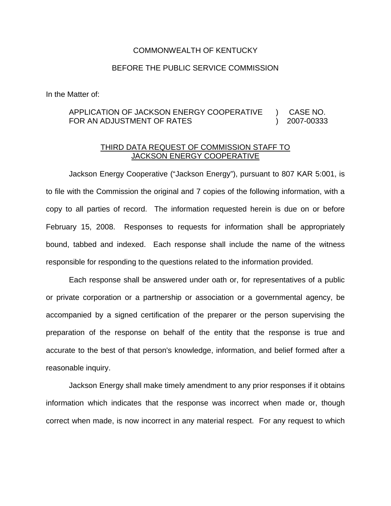## COMMONWEALTH OF KENTUCKY

## BEFORE THE PUBLIC SERVICE COMMISSION

In the Matter of:

## APPLICATION OF JACKSON ENERGY COOPERATIVE ) CASE NO. FOR AN ADJUSTMENT OF RATES (2007-00333

## THIRD DATA REQUEST OF COMMISSION STAFF TO JACKSON ENERGY COOPERATIVE

Jackson Energy Cooperative ("Jackson Energy"), pursuant to 807 KAR 5:001, is to file with the Commission the original and 7 copies of the following information, with a copy to all parties of record. The information requested herein is due on or before February 15, 2008. Responses to requests for information shall be appropriately bound, tabbed and indexed. Each response shall include the name of the witness responsible for responding to the questions related to the information provided.

Each response shall be answered under oath or, for representatives of a public or private corporation or a partnership or association or a governmental agency, be accompanied by a signed certification of the preparer or the person supervising the preparation of the response on behalf of the entity that the response is true and accurate to the best of that person's knowledge, information, and belief formed after a reasonable inquiry.

Jackson Energy shall make timely amendment to any prior responses if it obtains information which indicates that the response was incorrect when made or, though correct when made, is now incorrect in any material respect. For any request to which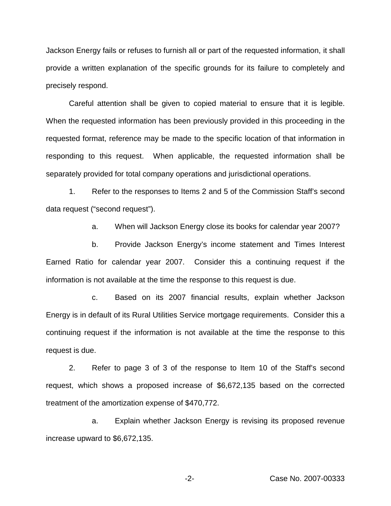Jackson Energy fails or refuses to furnish all or part of the requested information, it shall provide a written explanation of the specific grounds for its failure to completely and precisely respond.

Careful attention shall be given to copied material to ensure that it is legible. When the requested information has been previously provided in this proceeding in the requested format, reference may be made to the specific location of that information in responding to this request. When applicable, the requested information shall be separately provided for total company operations and jurisdictional operations.

1. Refer to the responses to Items 2 and 5 of the Commission Staff's second data request ("second request").

a. When will Jackson Energy close its books for calendar year 2007?

b. Provide Jackson Energy's income statement and Times Interest Earned Ratio for calendar year 2007. Consider this a continuing request if the information is not available at the time the response to this request is due.

c. Based on its 2007 financial results, explain whether Jackson Energy is in default of its Rural Utilities Service mortgage requirements. Consider this a continuing request if the information is not available at the time the response to this request is due.

2. Refer to page 3 of 3 of the response to Item 10 of the Staff's second request, which shows a proposed increase of \$6,672,135 based on the corrected treatment of the amortization expense of \$470,772.

a. Explain whether Jackson Energy is revising its proposed revenue increase upward to \$6,672,135.

-2- Case No. 2007-00333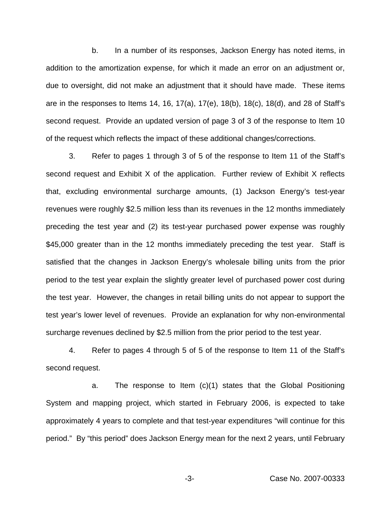b. In a number of its responses, Jackson Energy has noted items, in addition to the amortization expense, for which it made an error on an adjustment or, due to oversight, did not make an adjustment that it should have made. These items are in the responses to Items 14, 16, 17(a), 17(e), 18(b), 18(c), 18(d), and 28 of Staff's second request. Provide an updated version of page 3 of 3 of the response to Item 10 of the request which reflects the impact of these additional changes/corrections.

3. Refer to pages 1 through 3 of 5 of the response to Item 11 of the Staff's second request and Exhibit X of the application. Further review of Exhibit X reflects that, excluding environmental surcharge amounts, (1) Jackson Energy's test-year revenues were roughly \$2.5 million less than its revenues in the 12 months immediately preceding the test year and (2) its test-year purchased power expense was roughly \$45,000 greater than in the 12 months immediately preceding the test year. Staff is satisfied that the changes in Jackson Energy's wholesale billing units from the prior period to the test year explain the slightly greater level of purchased power cost during the test year. However, the changes in retail billing units do not appear to support the test year's lower level of revenues. Provide an explanation for why non-environmental surcharge revenues declined by \$2.5 million from the prior period to the test year.

4. Refer to pages 4 through 5 of 5 of the response to Item 11 of the Staff's second request.

a. The response to Item (c)(1) states that the Global Positioning System and mapping project, which started in February 2006, is expected to take approximately 4 years to complete and that test-year expenditures "will continue for this period." By "this period" does Jackson Energy mean for the next 2 years, until February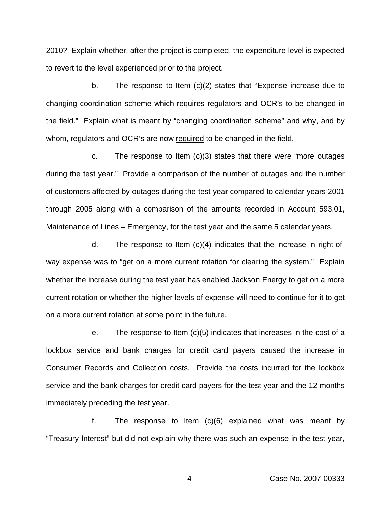2010? Explain whether, after the project is completed, the expenditure level is expected to revert to the level experienced prior to the project.

b. The response to Item (c)(2) states that "Expense increase due to changing coordination scheme which requires regulators and OCR's to be changed in the field." Explain what is meant by "changing coordination scheme" and why, and by whom, regulators and OCR's are now required to be changed in the field.

c. The response to Item  $(c)(3)$  states that there were "more outages" during the test year." Provide a comparison of the number of outages and the number of customers affected by outages during the test year compared to calendar years 2001 through 2005 along with a comparison of the amounts recorded in Account 593.01, Maintenance of Lines – Emergency, for the test year and the same 5 calendar years.

d. The response to Item (c)(4) indicates that the increase in right-ofway expense was to "get on a more current rotation for clearing the system." Explain whether the increase during the test year has enabled Jackson Energy to get on a more current rotation or whether the higher levels of expense will need to continue for it to get on a more current rotation at some point in the future.

e. The response to Item (c)(5) indicates that increases in the cost of a lockbox service and bank charges for credit card payers caused the increase in Consumer Records and Collection costs. Provide the costs incurred for the lockbox service and the bank charges for credit card payers for the test year and the 12 months immediately preceding the test year.

f. The response to Item (c)(6) explained what was meant by "Treasury Interest" but did not explain why there was such an expense in the test year,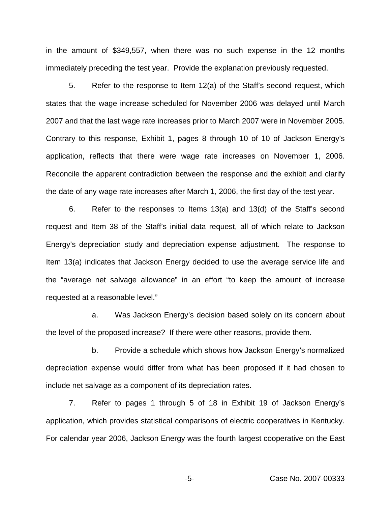in the amount of \$349,557, when there was no such expense in the 12 months immediately preceding the test year. Provide the explanation previously requested.

5. Refer to the response to Item 12(a) of the Staff's second request, which states that the wage increase scheduled for November 2006 was delayed until March 2007 and that the last wage rate increases prior to March 2007 were in November 2005. Contrary to this response, Exhibit 1, pages 8 through 10 of 10 of Jackson Energy's application, reflects that there were wage rate increases on November 1, 2006. Reconcile the apparent contradiction between the response and the exhibit and clarify the date of any wage rate increases after March 1, 2006, the first day of the test year.

6. Refer to the responses to Items 13(a) and 13(d) of the Staff's second request and Item 38 of the Staff's initial data request, all of which relate to Jackson Energy's depreciation study and depreciation expense adjustment. The response to Item 13(a) indicates that Jackson Energy decided to use the average service life and the "average net salvage allowance" in an effort "to keep the amount of increase requested at a reasonable level."

a. Was Jackson Energy's decision based solely on its concern about the level of the proposed increase? If there were other reasons, provide them.

b. Provide a schedule which shows how Jackson Energy's normalized depreciation expense would differ from what has been proposed if it had chosen to include net salvage as a component of its depreciation rates.

7. Refer to pages 1 through 5 of 18 in Exhibit 19 of Jackson Energy's application, which provides statistical comparisons of electric cooperatives in Kentucky. For calendar year 2006, Jackson Energy was the fourth largest cooperative on the East

-5- Case No. 2007-00333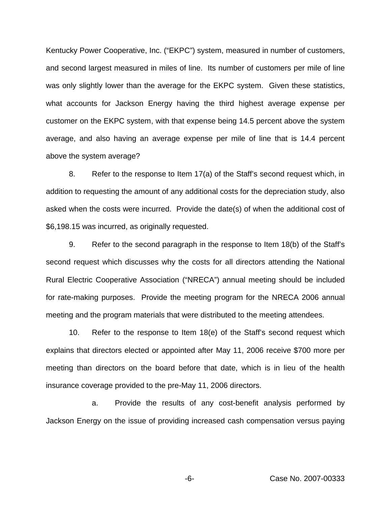Kentucky Power Cooperative, Inc. ("EKPC") system, measured in number of customers, and second largest measured in miles of line. Its number of customers per mile of line was only slightly lower than the average for the EKPC system. Given these statistics, what accounts for Jackson Energy having the third highest average expense per customer on the EKPC system, with that expense being 14.5 percent above the system average, and also having an average expense per mile of line that is 14.4 percent above the system average?

8. Refer to the response to Item 17(a) of the Staff's second request which, in addition to requesting the amount of any additional costs for the depreciation study, also asked when the costs were incurred. Provide the date(s) of when the additional cost of \$6,198.15 was incurred, as originally requested.

9. Refer to the second paragraph in the response to Item 18(b) of the Staff's second request which discusses why the costs for all directors attending the National Rural Electric Cooperative Association ("NRECA") annual meeting should be included for rate-making purposes. Provide the meeting program for the NRECA 2006 annual meeting and the program materials that were distributed to the meeting attendees.

10. Refer to the response to Item 18(e) of the Staff's second request which explains that directors elected or appointed after May 11, 2006 receive \$700 more per meeting than directors on the board before that date, which is in lieu of the health insurance coverage provided to the pre-May 11, 2006 directors.

a. Provide the results of any cost-benefit analysis performed by Jackson Energy on the issue of providing increased cash compensation versus paying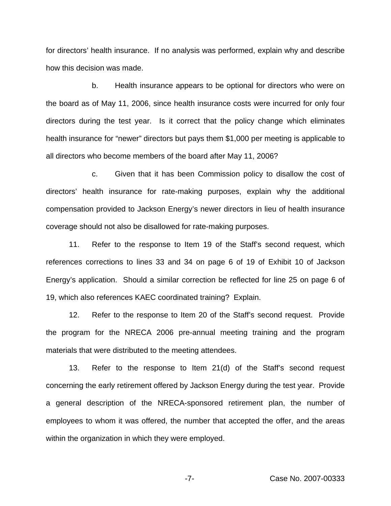for directors' health insurance. If no analysis was performed, explain why and describe how this decision was made.

b. Health insurance appears to be optional for directors who were on the board as of May 11, 2006, since health insurance costs were incurred for only four directors during the test year. Is it correct that the policy change which eliminates health insurance for "newer" directors but pays them \$1,000 per meeting is applicable to all directors who become members of the board after May 11, 2006?

c. Given that it has been Commission policy to disallow the cost of directors' health insurance for rate-making purposes, explain why the additional compensation provided to Jackson Energy's newer directors in lieu of health insurance coverage should not also be disallowed for rate-making purposes.

11. Refer to the response to Item 19 of the Staff's second request, which references corrections to lines 33 and 34 on page 6 of 19 of Exhibit 10 of Jackson Energy's application. Should a similar correction be reflected for line 25 on page 6 of 19, which also references KAEC coordinated training? Explain.

12. Refer to the response to Item 20 of the Staff's second request. Provide the program for the NRECA 2006 pre-annual meeting training and the program materials that were distributed to the meeting attendees.

13. Refer to the response to Item 21(d) of the Staff's second request concerning the early retirement offered by Jackson Energy during the test year. Provide a general description of the NRECA-sponsored retirement plan, the number of employees to whom it was offered, the number that accepted the offer, and the areas within the organization in which they were employed.

-7- Case No. 2007-00333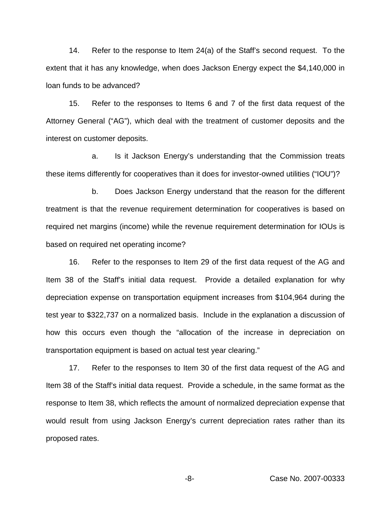14. Refer to the response to Item 24(a) of the Staff's second request. To the extent that it has any knowledge, when does Jackson Energy expect the \$4,140,000 in loan funds to be advanced?

15. Refer to the responses to Items 6 and 7 of the first data request of the Attorney General ("AG"), which deal with the treatment of customer deposits and the interest on customer deposits.

a. Is it Jackson Energy's understanding that the Commission treats these items differently for cooperatives than it does for investor-owned utilities ("IOU")?

b. Does Jackson Energy understand that the reason for the different treatment is that the revenue requirement determination for cooperatives is based on required net margins (income) while the revenue requirement determination for IOUs is based on required net operating income?

16. Refer to the responses to Item 29 of the first data request of the AG and Item 38 of the Staff's initial data request. Provide a detailed explanation for why depreciation expense on transportation equipment increases from \$104,964 during the test year to \$322,737 on a normalized basis. Include in the explanation a discussion of how this occurs even though the "allocation of the increase in depreciation on transportation equipment is based on actual test year clearing."

17. Refer to the responses to Item 30 of the first data request of the AG and Item 38 of the Staff's initial data request. Provide a schedule, in the same format as the response to Item 38, which reflects the amount of normalized depreciation expense that would result from using Jackson Energy's current depreciation rates rather than its proposed rates.